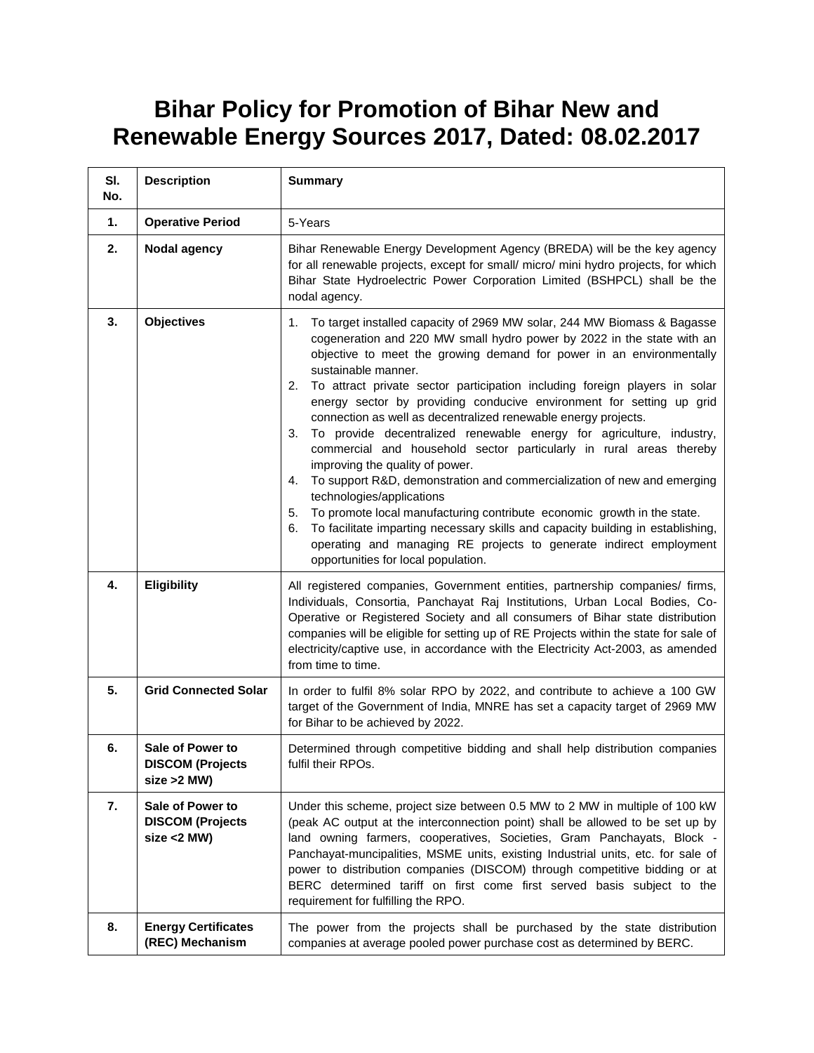## **Bihar Policy for Promotion of Bihar New and Renewable Energy Sources 2017, Dated: 08.02.2017**

| SI.<br>No. | <b>Description</b>                                            | <b>Summary</b>                                                                                                                                                                                                                                                                                                                                                                                                                                                                                                                                                                                                                                                                                                                                                                                                                                                                                                                                                                                                                                                                    |
|------------|---------------------------------------------------------------|-----------------------------------------------------------------------------------------------------------------------------------------------------------------------------------------------------------------------------------------------------------------------------------------------------------------------------------------------------------------------------------------------------------------------------------------------------------------------------------------------------------------------------------------------------------------------------------------------------------------------------------------------------------------------------------------------------------------------------------------------------------------------------------------------------------------------------------------------------------------------------------------------------------------------------------------------------------------------------------------------------------------------------------------------------------------------------------|
| 1.         | <b>Operative Period</b>                                       | 5-Years                                                                                                                                                                                                                                                                                                                                                                                                                                                                                                                                                                                                                                                                                                                                                                                                                                                                                                                                                                                                                                                                           |
| 2.         | Nodal agency                                                  | Bihar Renewable Energy Development Agency (BREDA) will be the key agency<br>for all renewable projects, except for small/ micro/ mini hydro projects, for which<br>Bihar State Hydroelectric Power Corporation Limited (BSHPCL) shall be the<br>nodal agency.                                                                                                                                                                                                                                                                                                                                                                                                                                                                                                                                                                                                                                                                                                                                                                                                                     |
| 3.         | <b>Objectives</b>                                             | To target installed capacity of 2969 MW solar, 244 MW Biomass & Bagasse<br>1.<br>cogeneration and 220 MW small hydro power by 2022 in the state with an<br>objective to meet the growing demand for power in an environmentally<br>sustainable manner.<br>To attract private sector participation including foreign players in solar<br>2.<br>energy sector by providing conducive environment for setting up grid<br>connection as well as decentralized renewable energy projects.<br>To provide decentralized renewable energy for agriculture, industry,<br>3.<br>commercial and household sector particularly in rural areas thereby<br>improving the quality of power.<br>To support R&D, demonstration and commercialization of new and emerging<br>4.<br>technologies/applications<br>To promote local manufacturing contribute economic growth in the state.<br>5.<br>To facilitate imparting necessary skills and capacity building in establishing,<br>6.<br>operating and managing RE projects to generate indirect employment<br>opportunities for local population. |
| 4.         | <b>Eligibility</b>                                            | All registered companies, Government entities, partnership companies/ firms,<br>Individuals, Consortia, Panchayat Raj Institutions, Urban Local Bodies, Co-<br>Operative or Registered Society and all consumers of Bihar state distribution<br>companies will be eligible for setting up of RE Projects within the state for sale of<br>electricity/captive use, in accordance with the Electricity Act-2003, as amended<br>from time to time.                                                                                                                                                                                                                                                                                                                                                                                                                                                                                                                                                                                                                                   |
| 5.         | <b>Grid Connected Solar</b>                                   | In order to fulfil 8% solar RPO by 2022, and contribute to achieve a 100 GW<br>target of the Government of India, MNRE has set a capacity target of 2969 MW<br>for Bihar to be achieved by 2022.                                                                                                                                                                                                                                                                                                                                                                                                                                                                                                                                                                                                                                                                                                                                                                                                                                                                                  |
| 6.         | Sale of Power to<br><b>DISCOM (Projects</b><br>$size > 2$ MW) | Determined through competitive bidding and shall help distribution companies<br>fulfil their RPOs.                                                                                                                                                                                                                                                                                                                                                                                                                                                                                                                                                                                                                                                                                                                                                                                                                                                                                                                                                                                |
| 7.         | Sale of Power to<br><b>DISCOM (Projects</b><br>$size < 2$ MW) | Under this scheme, project size between 0.5 MW to 2 MW in multiple of 100 kW<br>(peak AC output at the interconnection point) shall be allowed to be set up by<br>land owning farmers, cooperatives, Societies, Gram Panchayats, Block -<br>Panchayat-muncipalities, MSME units, existing Industrial units, etc. for sale of<br>power to distribution companies (DISCOM) through competitive bidding or at<br>BERC determined tariff on first come first served basis subject to the<br>requirement for fulfilling the RPO.                                                                                                                                                                                                                                                                                                                                                                                                                                                                                                                                                       |
| 8.         | <b>Energy Certificates</b><br>(REC) Mechanism                 | The power from the projects shall be purchased by the state distribution<br>companies at average pooled power purchase cost as determined by BERC.                                                                                                                                                                                                                                                                                                                                                                                                                                                                                                                                                                                                                                                                                                                                                                                                                                                                                                                                |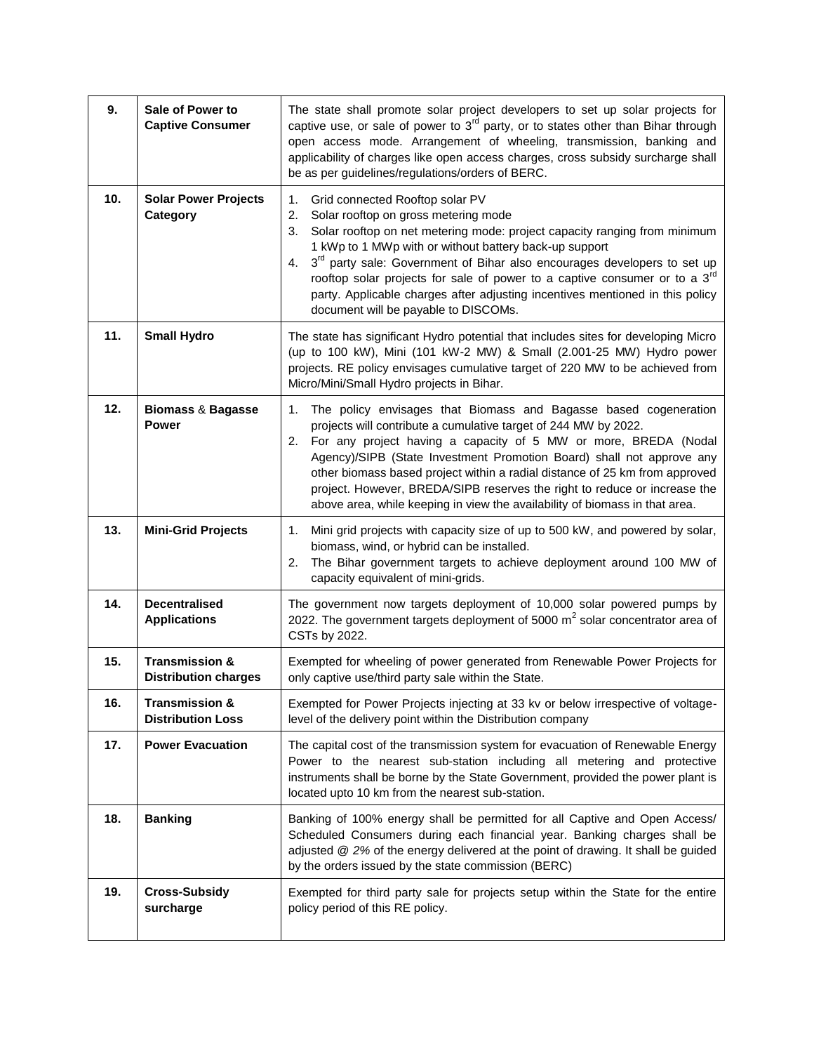| 9.  | Sale of Power to<br><b>Captive Consumer</b>              | The state shall promote solar project developers to set up solar projects for<br>captive use, or sale of power to $3rd$ party, or to states other than Bihar through<br>open access mode. Arrangement of wheeling, transmission, banking and<br>applicability of charges like open access charges, cross subsidy surcharge shall<br>be as per guidelines/regulations/orders of BERC.                                                                                                                                                    |
|-----|----------------------------------------------------------|-----------------------------------------------------------------------------------------------------------------------------------------------------------------------------------------------------------------------------------------------------------------------------------------------------------------------------------------------------------------------------------------------------------------------------------------------------------------------------------------------------------------------------------------|
| 10. | <b>Solar Power Projects</b><br>Category                  | Grid connected Rooftop solar PV<br>1.<br>2.<br>Solar rooftop on gross metering mode<br>Solar rooftop on net metering mode: project capacity ranging from minimum<br>3.<br>1 kWp to 1 MWp with or without battery back-up support<br>3 <sup>rd</sup> party sale: Government of Bihar also encourages developers to set up<br>4.<br>rooftop solar projects for sale of power to a captive consumer or to a $3rd$<br>party. Applicable charges after adjusting incentives mentioned in this policy<br>document will be payable to DISCOMs. |
| 11. | <b>Small Hydro</b>                                       | The state has significant Hydro potential that includes sites for developing Micro<br>(up to 100 kW), Mini (101 kW-2 MW) & Small (2.001-25 MW) Hydro power<br>projects. RE policy envisages cumulative target of 220 MW to be achieved from<br>Micro/Mini/Small Hydro projects in Bihar.                                                                                                                                                                                                                                                |
| 12. | <b>Biomass &amp; Bagasse</b><br><b>Power</b>             | The policy envisages that Biomass and Bagasse based cogeneration<br>1.<br>projects will contribute a cumulative target of 244 MW by 2022.<br>For any project having a capacity of 5 MW or more, BREDA (Nodal<br>2.<br>Agency)/SIPB (State Investment Promotion Board) shall not approve any<br>other biomass based project within a radial distance of 25 km from approved<br>project. However, BREDA/SIPB reserves the right to reduce or increase the<br>above area, while keeping in view the availability of biomass in that area.  |
| 13. | <b>Mini-Grid Projects</b>                                | Mini grid projects with capacity size of up to 500 kW, and powered by solar,<br>1.<br>biomass, wind, or hybrid can be installed.<br>The Bihar government targets to achieve deployment around 100 MW of<br>2.<br>capacity equivalent of mini-grids.                                                                                                                                                                                                                                                                                     |
| 14. | <b>Decentralised</b><br><b>Applications</b>              | The government now targets deployment of 10,000 solar powered pumps by<br>2022. The government targets deployment of 5000 $m2$ solar concentrator area of<br>CSTs by 2022.                                                                                                                                                                                                                                                                                                                                                              |
| 15. | <b>Transmission &amp;</b><br><b>Distribution charges</b> | Exempted for wheeling of power generated from Renewable Power Projects for<br>only captive use/third party sale within the State.                                                                                                                                                                                                                                                                                                                                                                                                       |
| 16. | <b>Transmission &amp;</b><br><b>Distribution Loss</b>    | Exempted for Power Projects injecting at 33 kv or below irrespective of voltage-<br>level of the delivery point within the Distribution company                                                                                                                                                                                                                                                                                                                                                                                         |
| 17. | <b>Power Evacuation</b>                                  | The capital cost of the transmission system for evacuation of Renewable Energy<br>Power to the nearest sub-station including all metering and protective<br>instruments shall be borne by the State Government, provided the power plant is<br>located upto 10 km from the nearest sub-station.                                                                                                                                                                                                                                         |
| 18. | <b>Banking</b>                                           | Banking of 100% energy shall be permitted for all Captive and Open Access/<br>Scheduled Consumers during each financial year. Banking charges shall be<br>adjusted @ 2% of the energy delivered at the point of drawing. It shall be guided<br>by the orders issued by the state commission (BERC)                                                                                                                                                                                                                                      |
| 19. | <b>Cross-Subsidy</b><br>surcharge                        | Exempted for third party sale for projects setup within the State for the entire<br>policy period of this RE policy.                                                                                                                                                                                                                                                                                                                                                                                                                    |